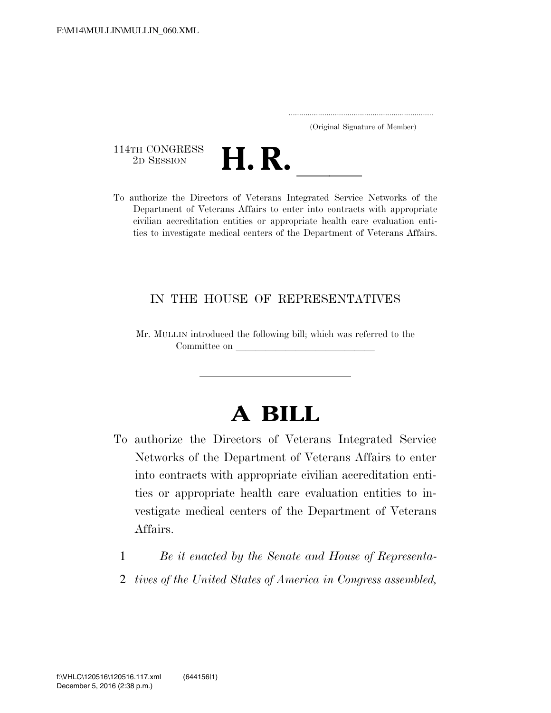..................................................................... (Original Signature of Member)

114TH CONGRESS<br>2D SESSION



114TH CONGRESS<br>
2D SESSION<br>
To authorize the Directors of Veterans Integrated Service Networks of the Department of Veterans Affairs to enter into contracts with appropriate civilian accreditation entities or appropriate health care evaluation entities to investigate medical centers of the Department of Veterans Affairs.

## IN THE HOUSE OF REPRESENTATIVES

Mr. MULLIN introduced the following bill; which was referred to the Committee on leading the state of  $\alpha$ 

## **A BILL**

- To authorize the Directors of Veterans Integrated Service Networks of the Department of Veterans Affairs to enter into contracts with appropriate civilian accreditation entities or appropriate health care evaluation entities to investigate medical centers of the Department of Veterans Affairs.
	- 1 *Be it enacted by the Senate and House of Representa-*
	- 2 *tives of the United States of America in Congress assembled,*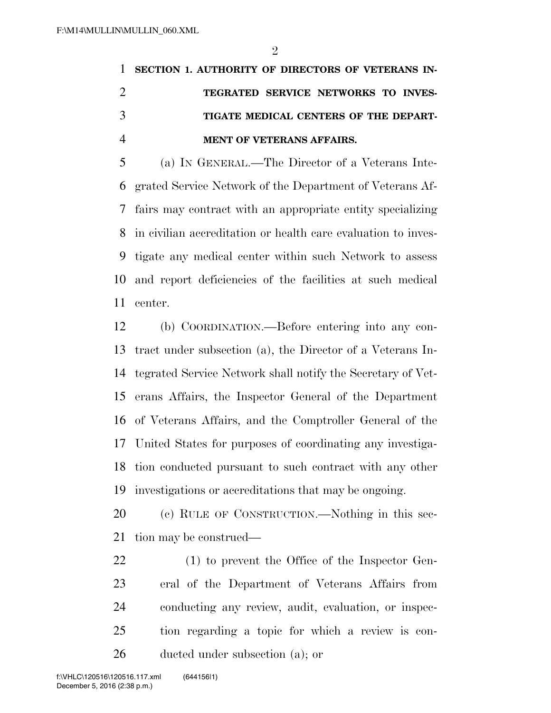## **SECTION 1. AUTHORITY OF DIRECTORS OF VETERANS IN- TEGRATED SERVICE NETWORKS TO INVES- TIGATE MEDICAL CENTERS OF THE DEPART-MENT OF VETERANS AFFAIRS.**

 (a) IN GENERAL.—The Director of a Veterans Inte- grated Service Network of the Department of Veterans Af- fairs may contract with an appropriate entity specializing in civilian accreditation or health care evaluation to inves- tigate any medical center within such Network to assess and report deficiencies of the facilities at such medical center.

 (b) COORDINATION.—Before entering into any con- tract under subsection (a), the Director of a Veterans In- tegrated Service Network shall notify the Secretary of Vet- erans Affairs, the Inspector General of the Department of Veterans Affairs, and the Comptroller General of the United States for purposes of coordinating any investiga- tion conducted pursuant to such contract with any other investigations or accreditations that may be ongoing.

 (c) RULE OF CONSTRUCTION.—Nothing in this sec-tion may be construed—

 (1) to prevent the Office of the Inspector Gen- eral of the Department of Veterans Affairs from conducting any review, audit, evaluation, or inspec- tion regarding a topic for which a review is con-ducted under subsection (a); or